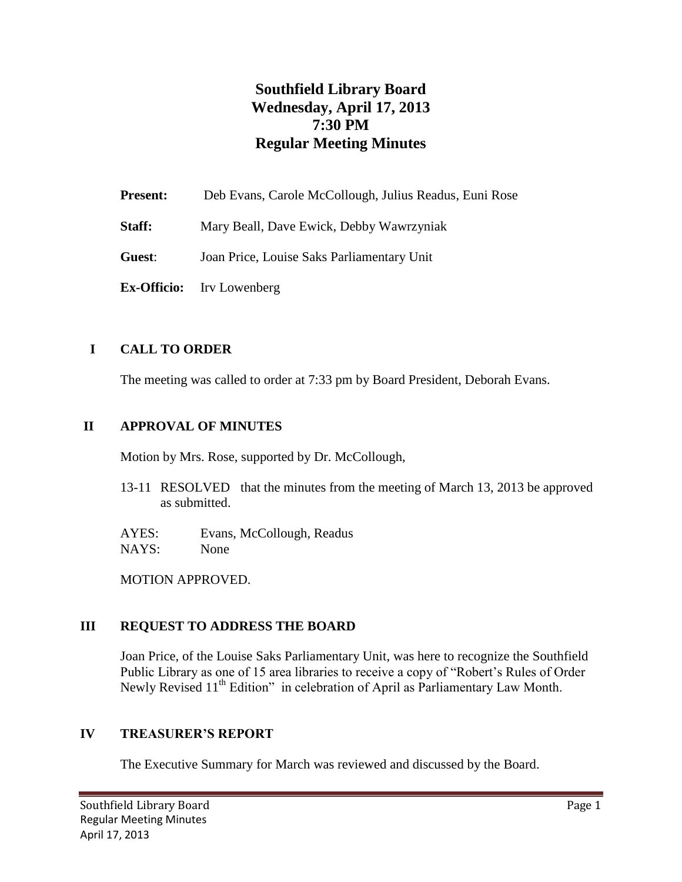# **Southfield Library Board Wednesday, April 17, 2013 7:30 PM Regular Meeting Minutes**

| <b>Present:</b> | Deb Evans, Carole McCollough, Julius Readus, Euni Rose |
|-----------------|--------------------------------------------------------|
| Staff:          | Mary Beall, Dave Ewick, Debby Wawrzyniak               |
| Guest:          | Joan Price, Louise Saks Parliamentary Unit             |
|                 | <b>Ex-Officio:</b> Irv Lowenberg                       |

## **I CALL TO ORDER**

The meeting was called to order at 7:33 pm by Board President, Deborah Evans.

#### **II APPROVAL OF MINUTES**

Motion by Mrs. Rose, supported by Dr. McCollough,

13-11 RESOLVED that the minutes from the meeting of March 13, 2013 be approved as submitted.

AYES: Evans, McCollough, Readus NAYS: None

MOTION APPROVED.

## **III REQUEST TO ADDRESS THE BOARD**

Joan Price, of the Louise Saks Parliamentary Unit, was here to recognize the Southfield Public Library as one of 15 area libraries to receive a copy of "Robert's Rules of Order Newly Revised 11<sup>th</sup> Edition" in celebration of April as Parliamentary Law Month.

#### **IV TREASURER'S REPORT**

The Executive Summary for March was reviewed and discussed by the Board.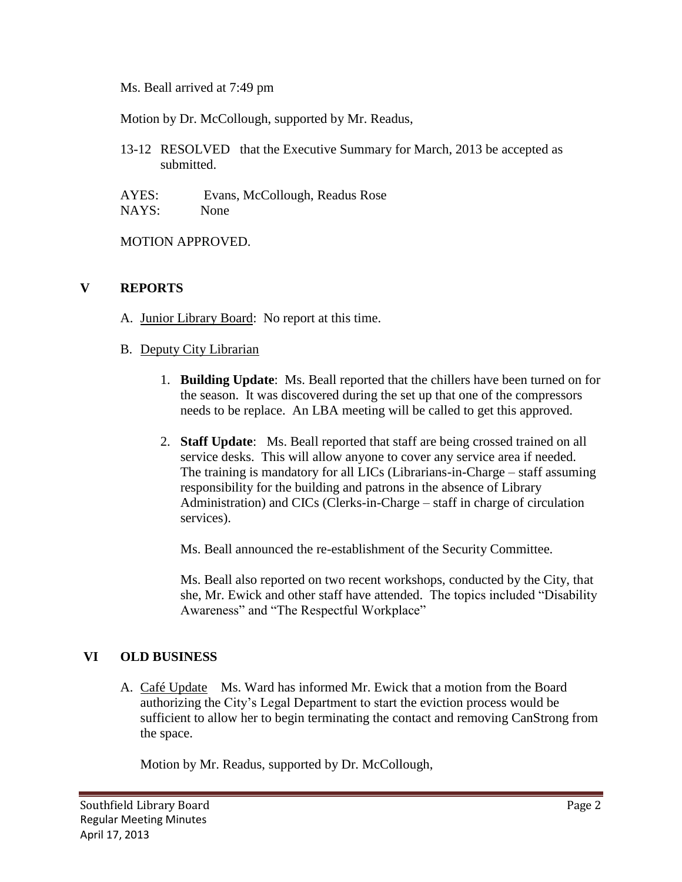Ms. Beall arrived at 7:49 pm

Motion by Dr. McCollough, supported by Mr. Readus,

13-12 RESOLVED that the Executive Summary for March, 2013 be accepted as submitted.

AYES: Evans, McCollough, Readus Rose NAYS: None

MOTION APPROVED.

#### **V REPORTS**

- A. Junior Library Board: No report at this time.
- B. Deputy City Librarian
	- 1. **Building Update**: Ms. Beall reported that the chillers have been turned on for the season. It was discovered during the set up that one of the compressors needs to be replace. An LBA meeting will be called to get this approved.
	- 2. **Staff Update**: Ms. Beall reported that staff are being crossed trained on all service desks. This will allow anyone to cover any service area if needed. The training is mandatory for all LICs (Librarians-in-Charge – staff assuming responsibility for the building and patrons in the absence of Library Administration) and CICs (Clerks-in-Charge – staff in charge of circulation services).

Ms. Beall announced the re-establishment of the Security Committee.

Ms. Beall also reported on two recent workshops, conducted by the City, that she, Mr. Ewick and other staff have attended. The topics included "Disability Awareness" and "The Respectful Workplace"

#### **VI OLD BUSINESS**

A. Café Update Ms. Ward has informed Mr. Ewick that a motion from the Board authorizing the City's Legal Department to start the eviction process would be sufficient to allow her to begin terminating the contact and removing CanStrong from the space.

Motion by Mr. Readus, supported by Dr. McCollough,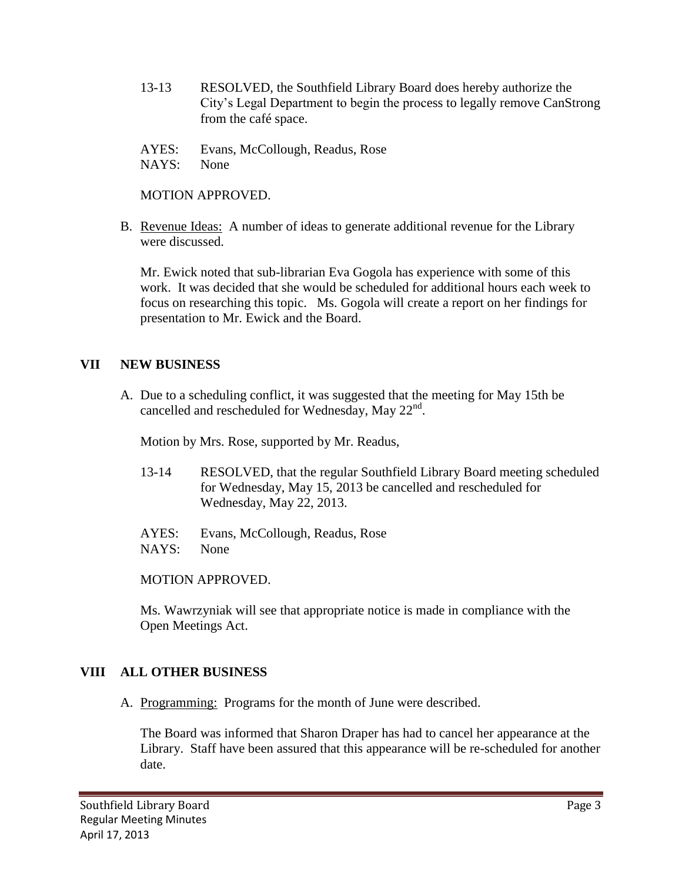- 13-13 RESOLVED, the Southfield Library Board does hereby authorize the City's Legal Department to begin the process to legally remove CanStrong from the café space.
- AYES: Evans, McCollough, Readus, Rose
- NAYS: None

MOTION APPROVED.

B. Revenue Ideas: A number of ideas to generate additional revenue for the Library were discussed.

Mr. Ewick noted that sub-librarian Eva Gogola has experience with some of this work. It was decided that she would be scheduled for additional hours each week to focus on researching this topic. Ms. Gogola will create a report on her findings for presentation to Mr. Ewick and the Board.

## **VII NEW BUSINESS**

A. Due to a scheduling conflict, it was suggested that the meeting for May 15th be cancelled and rescheduled for Wednesday, May  $22<sup>nd</sup>$ .

Motion by Mrs. Rose, supported by Mr. Readus,

- 13-14 RESOLVED, that the regular Southfield Library Board meeting scheduled for Wednesday, May 15, 2013 be cancelled and rescheduled for Wednesday, May 22, 2013.
- AYES: Evans, McCollough, Readus, Rose NAYS: None

MOTION APPROVED.

Ms. Wawrzyniak will see that appropriate notice is made in compliance with the Open Meetings Act.

## **VIII ALL OTHER BUSINESS**

A. Programming: Programs for the month of June were described.

The Board was informed that Sharon Draper has had to cancel her appearance at the Library. Staff have been assured that this appearance will be re-scheduled for another date.